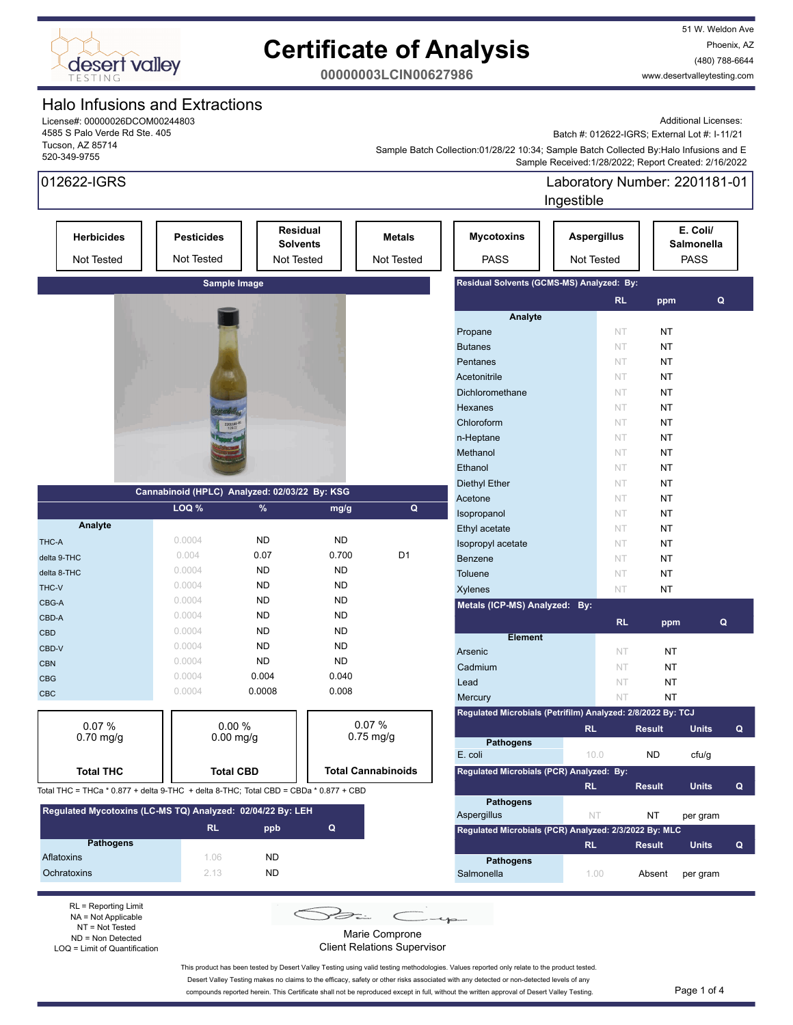

51 W. Weldon Ave Phoenix, AZ (480) 788-6644 www.desertvalleytesting.com

**00000003LCIN00627986**

## Halo Infusions and Extractions

License#: 00000026DCOM00244803 4585 S Palo Verde Rd Ste. 405 Tucson, AZ 85714 520-349-9755

012622-IGRS

Additional Licenses:

Batch #: 012622-IGRS; External Lot #: I-11/21

 Sample Received:1/28/2022; Report Created: 2/16/2022 Sample Batch Collection:01/28/22 10:34; Sample Batch Collected By:Halo Infusions and E

| 012622-IGRS                                                                          |                                               |                  |                                                  |                             |                                                             | Laboratory Number: 2201181-01<br>Ingestible |                 |                                       |   |
|--------------------------------------------------------------------------------------|-----------------------------------------------|------------------|--------------------------------------------------|-----------------------------|-------------------------------------------------------------|---------------------------------------------|-----------------|---------------------------------------|---|
| <b>Herbicides</b><br>Not Tested                                                      | <b>Pesticides</b><br>Not Tested               |                  | <b>Residual</b><br><b>Solvents</b><br>Not Tested | <b>Metals</b><br>Not Tested | <b>Mycotoxins</b><br><b>PASS</b>                            | <b>Aspergillus</b><br>Not Tested            |                 | E. Coli/<br>Salmonella<br><b>PASS</b> |   |
|                                                                                      |                                               | Sample Image     |                                                  |                             | Residual Solvents (GCMS-MS) Analyzed: By:                   |                                             |                 |                                       |   |
|                                                                                      |                                               |                  |                                                  |                             | Analyte                                                     | RL.                                         | ppm             | $\mathbf Q$                           |   |
|                                                                                      |                                               |                  |                                                  |                             | Propane                                                     | NT.                                         | NT              |                                       |   |
|                                                                                      |                                               |                  |                                                  |                             | <b>Butanes</b>                                              | NT                                          | <b>NT</b>       |                                       |   |
|                                                                                      |                                               |                  |                                                  |                             | Pentanes                                                    | NT                                          | NT              |                                       |   |
|                                                                                      |                                               |                  |                                                  |                             | Acetonitrile                                                | <b>NT</b>                                   | <b>NT</b>       |                                       |   |
|                                                                                      |                                               |                  |                                                  |                             | Dichloromethane                                             | NT                                          | <b>NT</b>       |                                       |   |
|                                                                                      |                                               |                  |                                                  |                             | Hexanes                                                     | NT                                          | <b>NT</b>       |                                       |   |
|                                                                                      |                                               | 2201181          |                                                  |                             | Chloroform                                                  | NT                                          | NT              |                                       |   |
|                                                                                      |                                               |                  |                                                  |                             | n-Heptane                                                   | NT                                          | NT              |                                       |   |
|                                                                                      |                                               |                  |                                                  |                             | Methanol                                                    | NT                                          | <b>NT</b>       |                                       |   |
|                                                                                      |                                               |                  |                                                  |                             | Ethanol                                                     | NT                                          | <b>NT</b>       |                                       |   |
|                                                                                      |                                               |                  |                                                  |                             | Diethyl Ether                                               | NT                                          | <b>NT</b>       |                                       |   |
|                                                                                      | Cannabinoid (HPLC) Analyzed: 02/03/22 By: KSG |                  |                                                  |                             | Acetone                                                     | NT                                          | <b>NT</b>       |                                       |   |
|                                                                                      | LOQ %                                         | %                | mg/g                                             | $\pmb{\mathsf{Q}}$          | Isopropanol                                                 | NT                                          | NT              |                                       |   |
| Analyte                                                                              |                                               |                  |                                                  |                             | Ethyl acetate                                               | NT                                          | NT              |                                       |   |
| THC-A                                                                                | 0.0004                                        | <b>ND</b>        | <b>ND</b>                                        |                             | Isopropyl acetate                                           | NT                                          | <b>NT</b>       |                                       |   |
| delta 9-THC                                                                          | 0.004                                         | 0.07             | 0.700                                            | D <sub>1</sub>              | Benzene                                                     | NT                                          | <b>NT</b>       |                                       |   |
| delta 8-THC                                                                          | 0.0004                                        | <b>ND</b>        | <b>ND</b>                                        |                             | <b>Toluene</b>                                              | NT                                          | <b>NT</b>       |                                       |   |
| THC-V                                                                                | 0.0004                                        | <b>ND</b>        | <b>ND</b>                                        |                             | <b>Xylenes</b>                                              | NT                                          | NT              |                                       |   |
| CBG-A                                                                                | 0.0004                                        | <b>ND</b>        | <b>ND</b>                                        |                             | Metals (ICP-MS) Analyzed: By:                               |                                             |                 |                                       |   |
| CBD-A                                                                                | 0.0004                                        | <b>ND</b>        | <b>ND</b>                                        |                             |                                                             | <b>RL</b>                                   |                 | $\mathbf Q$                           |   |
| <b>CBD</b>                                                                           | 0.0004                                        | <b>ND</b>        | <b>ND</b>                                        |                             | <b>Element</b>                                              |                                             | ppm             |                                       |   |
| CBD-V                                                                                | 0.0004                                        | <b>ND</b>        | <b>ND</b>                                        |                             | Arsenic                                                     | <b>NT</b>                                   | NT              |                                       |   |
| <b>CBN</b>                                                                           | 0.0004                                        | <b>ND</b>        | <b>ND</b>                                        |                             | Cadmium                                                     | NT                                          | ΝT              |                                       |   |
| <b>CBG</b>                                                                           | 0.0004                                        | 0.004            | 0.040                                            |                             | Lead                                                        | NT                                          |                 |                                       |   |
| CBC                                                                                  | 0.0004                                        | 0.0008           | 0.008                                            |                             | Mercury                                                     | NT                                          | ΝT<br><b>NT</b> |                                       |   |
|                                                                                      |                                               |                  |                                                  |                             | Regulated Microbials (Petrifilm) Analyzed: 2/8/2022 By: TCJ |                                             |                 |                                       |   |
| 0.07%                                                                                |                                               | 0.00%            |                                                  | 0.07%                       |                                                             |                                             |                 |                                       |   |
| $0.70$ mg/g                                                                          |                                               | $0.00$ mg/g      |                                                  | $0.75$ mg/g                 | <b>Pathogens</b>                                            | <b>RL</b>                                   | <b>Result</b>   | <b>Units</b>                          | Q |
|                                                                                      |                                               |                  |                                                  |                             | E. coli                                                     | 10.0                                        | ${\sf ND}$      | cfu/g                                 |   |
| <b>Total THC</b>                                                                     |                                               | <b>Total CBD</b> |                                                  | <b>Total Cannabinoids</b>   | Regulated Microbials (PCR) Analyzed: By:                    |                                             |                 |                                       |   |
|                                                                                      |                                               |                  |                                                  |                             |                                                             | <b>RL</b>                                   | <b>Result</b>   | <b>Units</b>                          | Q |
| Total THC = THCa * 0.877 + delta 9-THC + delta 8-THC; Total CBD = CBDa * 0.877 + CBD |                                               |                  |                                                  |                             | <b>Pathogens</b>                                            |                                             |                 |                                       |   |
| Regulated Mycotoxins (LC-MS TQ) Analyzed: 02/04/22 By: LEH                           |                                               |                  |                                                  |                             | Aspergillus                                                 | NT.                                         | ΝT              | per gram                              |   |
|                                                                                      | RL.                                           | ppb              | $\mathbf Q$                                      |                             | Regulated Microbials (PCR) Analyzed: 2/3/2022 By: MLC       |                                             |                 |                                       |   |
| <b>Pathogens</b>                                                                     |                                               |                  |                                                  |                             |                                                             | RL.                                         | <b>Result</b>   | <b>Units</b>                          | Q |
| Aflatoxins                                                                           | 1.06                                          | <b>ND</b>        |                                                  |                             | <b>Pathogens</b>                                            |                                             |                 |                                       |   |
| Ochratoxins                                                                          | 2.13                                          | <b>ND</b>        |                                                  |                             | Salmonella                                                  | 1.00                                        | Absent          | per gram                              |   |
|                                                                                      |                                               |                  |                                                  |                             |                                                             |                                             |                 |                                       |   |

RL = Reporting Limit NA = Not Applicable NT = Not Tested ND = Non Detected LOQ = Limit of Quantification

 $\leq$ Ban  $\subset$ 

Marie Comprone

Client Relations Supervisor

This product has been tested by Desert Valley Testing using valid testing methodologies. Values reported only relate to the product tested. Desert Valley Testing makes no claims to the efficacy, safety or other risks associated with any detected or non-detected levels of any

compounds reported herein. This Certificate shall not be reproduced except in full, without the written approval of Desert Valley Testing. Page 1 of 4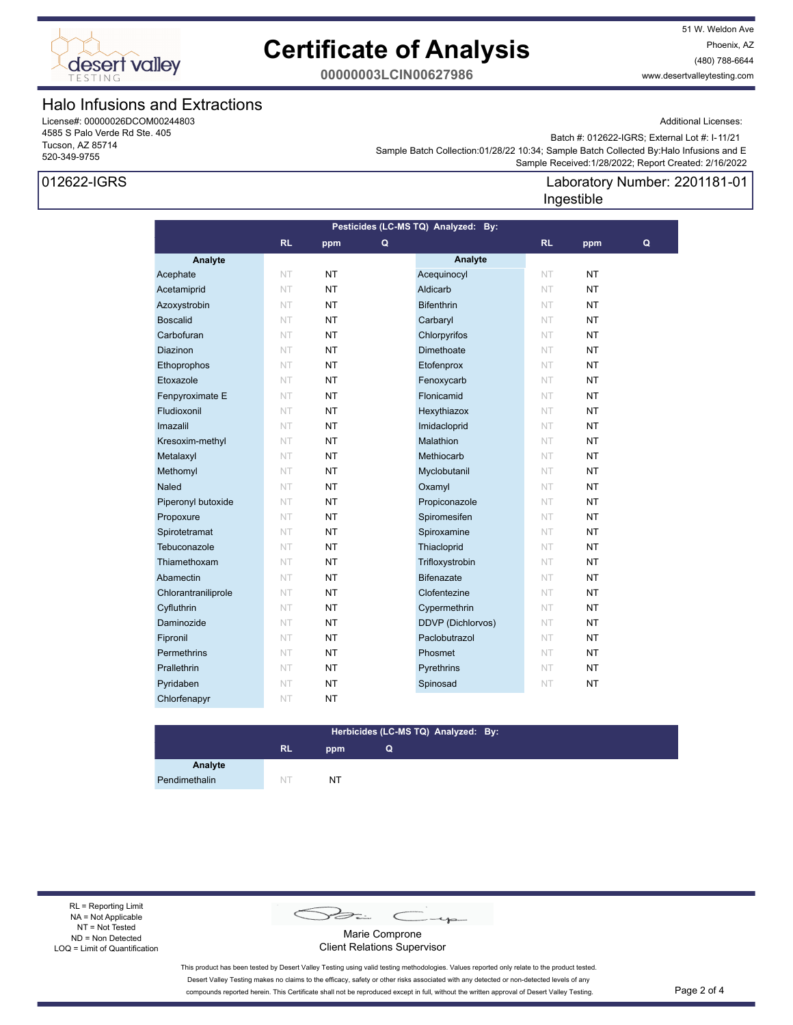

51 W. Weldon Ave Phoenix, AZ (480) 788-6644 www.desertvalleytesting.com

Additional Licenses:

**00000003LCIN00627986**

## Halo Infusions and Extractions

License#: 00000026DCOM00244803 4585 S Palo Verde Rd Ste. 405 Tucson, AZ 85714 520-349-9755

## 012622-IGRS

Batch #: 012622-IGRS; External Lot #: I-11/21

Laboratory Number: 2201181-01

 Sample Received:1/28/2022; Report Created: 2/16/2022 Sample Batch Collection:01/28/22 10:34; Sample Batch Collected By:Halo Infusions and E

### **Analyte Analyte RL ppm RL ppm Pesticides (LC-MS TQ) Analyzed: By: Q Q** Acephate NT NT NT Acequinocyl NT NT Acetamiprid NT NT NT Aldicarb NT NT NT Azoxystrobin NT NT NT Bifenthrin NT NT NT Boscalid NT NT NT Carbaryl NT NT NT Carbofuran NT NT NT Chlorpyrifos NT NT **Diazinon NT NT NT Dimethoate** NT NT Ethoprophos NT NT NT Etofenprox NT NT Etoxazole NT NT NT Fenoxycarb NT NT **Fenpyroximate E NT NT NT Flonicamid NT NT NT Fludioxonil NT NT NT Hexythiazox NT NT NT** Imazalil NT NT NT Imidacloprid NT NT Kresoxim-methyl NT NT NT Malathion NT NT **Metalaxyl NT NT NT Methiocarb** NT **NT Methomyl NT NT NT Myclobutanil NT NT NT Naled NT NT NT Oxamyl NT NT NT** Piperonyl butoxide NT NT **NT** Propiconazole NT NT Propoxure NT NT NT Spiromesifen NT NT Spirotetramat NT NT NT Spiroxamine NT NT Tebuconazole **NT NT Thiacloprid NT NT NT** Thiamethoxam NT NT NT Trifloxystrobin NT NT Abamectin NT NT **NT** Bifenazate NT NT Chlorantraniliprole NT NT NT Clofentezine NT NT Cyfluthrin NT NT NT Cypermethrin NT NT Daminozide NT NT NT DDVP (Dichlorvos) NT NT **Fipronil NT NT NT Paclobutrazol NT NT Permethrins NT NT NT Phosmet NT NT NT Prallethrin NT NT NT Pyrethrins NT NT NT** Pyridaben NT NT NT Spinosad NT NT Chlorfenapyr NT NT Ingestible

#### **RL ppm Herbicides (LC-MS TQ) Analyzed: By: Q**

**Analyte** Pendimethalin NT NT NT

RL = Reporting Limit NA = Not Applicable NT = Not Tested ND = Non Detected LOQ = Limit of Quantification

B  $\subset$ 

Marie Comprone Client Relations Supervisor

This product has been tested by Desert Valley Testing using valid testing methodologies. Values reported only relate to the product tested. Desert Valley Testing makes no claims to the efficacy, safety or other risks associated with any detected or non-detected levels of any compounds reported herein. This Certificate shall not be reproduced except in full, without the written approval of Desert Valley Testing. Page 2 of 4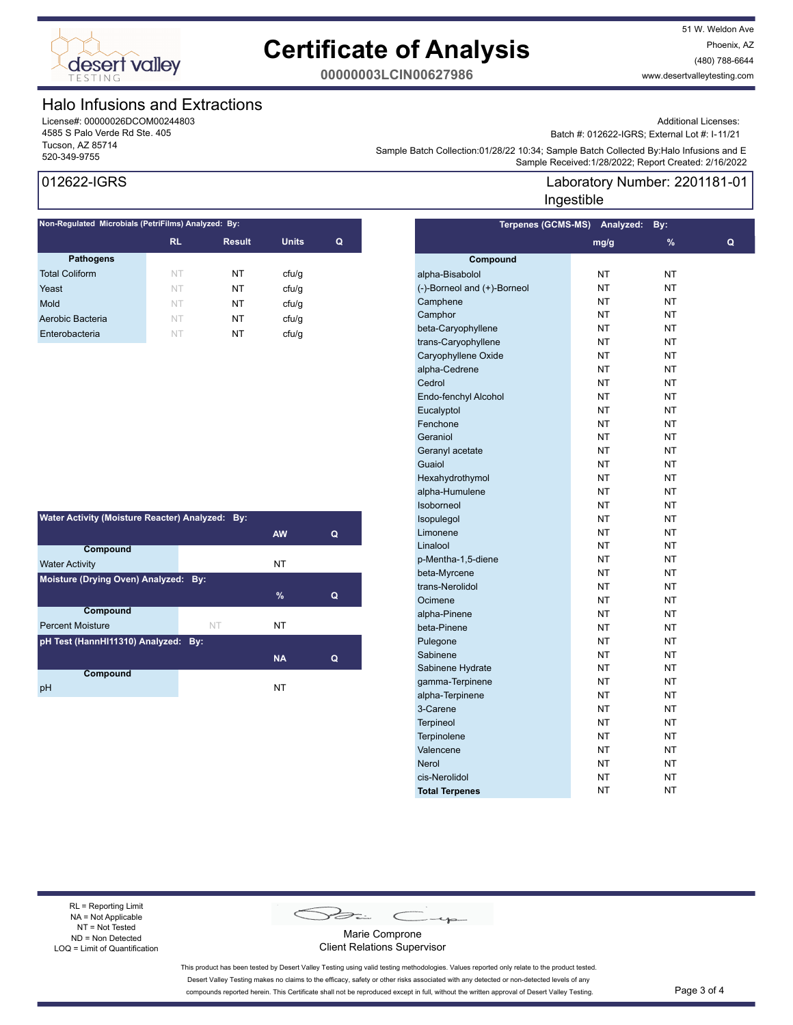

51 W. Weldon Ave Phoenix, AZ (480) 788-6644 www.desertvalleytesting.com

**00000003LCIN00627986**

## Halo Infusions and Extractions

License#: 00000026DCOM00244803 4585 S Palo Verde Rd Ste. 405 Tucson, AZ 85714

Additional Licenses:

Batch #: 012622-IGRS; External Lot #: I-11/21

Laboratory Number: 2201181-01

Sample Batch Collection.0 (1/26/22 To:34, Sample Batch Collection 2012)<br>Sample Received:1/28/2022; Report Created: 2/16/2022 Sample Batch Collection:01/28/22 10:34; Sample Batch Collected By:Halo Infusions and E

Ingestible

## 012622-IGRS

| Non-Regulated Microbials (PetriFilms) Analyzed: By: |           |               |              |   |  |
|-----------------------------------------------------|-----------|---------------|--------------|---|--|
|                                                     | <b>RL</b> | <b>Result</b> | <b>Units</b> | Q |  |
| <b>Pathogens</b>                                    |           |               |              |   |  |
| <b>Total Coliform</b>                               | <b>NT</b> | NT            | cfu/q        |   |  |
| Yeast                                               | NT        | NT            | cfu/q        |   |  |
| Mold                                                | <b>NT</b> | NT            | ctu/g        |   |  |
| Aerobic Bacteria                                    | NT        | NΤ            | cfu/q        |   |  |
| Enterobacteria                                      | NT        | NT            | ctu/g        |   |  |
|                                                     |           |               |              |   |  |

| Water Activity (Moisture Reacter) Analyzed: By: |    |           |   |  |  |  |
|-------------------------------------------------|----|-----------|---|--|--|--|
|                                                 |    | <b>AW</b> | Q |  |  |  |
| Compound                                        |    |           |   |  |  |  |
| <b>Water Activity</b>                           |    | NT        |   |  |  |  |
| Moisture (Drying Oven) Analyzed: By:            |    |           |   |  |  |  |
|                                                 |    | $\%$      | Q |  |  |  |
| <b>Compound</b>                                 |    |           |   |  |  |  |
| <b>Percent Moisture</b>                         | NT | NT        |   |  |  |  |
| pH Test (HannHI11310) Analyzed: By:             |    |           |   |  |  |  |
|                                                 |    | <b>NA</b> | Q |  |  |  |
| Compound                                        |    |           |   |  |  |  |
| рH                                              |    | NT        |   |  |  |  |

|                             | Terpenes (GCMS-MS) Analyzed: | By:           |   |
|-----------------------------|------------------------------|---------------|---|
|                             | mg/g                         | $\frac{9}{6}$ | Q |
| Compound                    |                              |               |   |
| alpha-Bisabolol             | <b>NT</b>                    | NT            |   |
| (-)-Borneol and (+)-Borneol | <b>NT</b>                    | <b>NT</b>     |   |
| Camphene                    | <b>NT</b>                    | NΤ            |   |
| Camphor                     | NT                           | NΤ            |   |
| beta-Caryophyllene          | NT                           | NT            |   |
| trans-Caryophyllene         | <b>NT</b>                    | <b>NT</b>     |   |
| Caryophyllene Oxide         | <b>NT</b>                    | NT            |   |
| alpha-Cedrene               | <b>NT</b>                    | NT            |   |
| Cedrol                      | <b>NT</b>                    | NT            |   |
| Endo-fenchyl Alcohol        | <b>NT</b>                    | <b>NT</b>     |   |
| Eucalyptol                  | <b>NT</b>                    | NT            |   |
| Fenchone                    | <b>NT</b>                    | NT            |   |
| Geraniol                    | NT                           | NΤ            |   |
| Geranyl acetate             | NT                           | NT            |   |
| Guaiol                      | <b>NT</b>                    | NT            |   |
| Hexahydrothymol             | <b>NT</b>                    | NT            |   |
| alpha-Humulene              | <b>NT</b>                    | NT            |   |
| Isoborneol                  | <b>NT</b>                    | <b>NT</b>     |   |
| Isopulegol                  | <b>NT</b>                    | NT            |   |
| Limonene                    | <b>NT</b>                    | NΤ            |   |
| Linalool                    | NT                           | NΤ            |   |
| p-Mentha-1,5-diene          | NT                           | NΤ            |   |
| beta-Myrcene                | <b>NT</b>                    | NT            |   |
| trans-Nerolidol             | <b>NT</b>                    | NT            |   |
| Ocimene                     | <b>NT</b>                    | NT            |   |
| alpha-Pinene                | <b>NT</b>                    | <b>NT</b>     |   |
| beta-Pinene                 | NT                           | <b>NT</b>     |   |
| Pulegone                    | ΝT                           | NT            |   |
| Sabinene                    | NT                           | NΤ            |   |
| Sabinene Hydrate            | NT                           | NΤ            |   |
| gamma-Terpinene             | NT                           | NT            |   |
| alpha-Terpinene             | <b>NT</b>                    | <b>NT</b>     |   |
| 3-Carene                    | <b>NT</b>                    | NT            |   |
| <b>Terpineol</b>            | <b>NT</b>                    | NT            |   |
| <b>Terpinolene</b>          | <b>NT</b>                    | <b>NT</b>     |   |
| Valencene                   | <b>NT</b>                    | <b>NT</b>     |   |
| <b>Nerol</b>                | <b>NT</b>                    | NT            |   |
| cis-Nerolidol               | NT                           | NΤ            |   |
| <b>Total Terpenes</b>       | NT                           | NT            |   |

#### RL = Reporting Limit NA = Not Applicable NT = Not Tested ND = Non Detected LOQ = Limit of Quantification

Sain C

Marie Comprone Client Relations Supervisor

This product has been tested by Desert Valley Testing using valid testing methodologies. Values reported only relate to the product tested. Desert Valley Testing makes no claims to the efficacy, safety or other risks associated with any detected or non-detected levels of any compounds reported herein. This Certificate shall not be reproduced except in full, without the written approval of Desert Valley Testing. Page 3 of 4